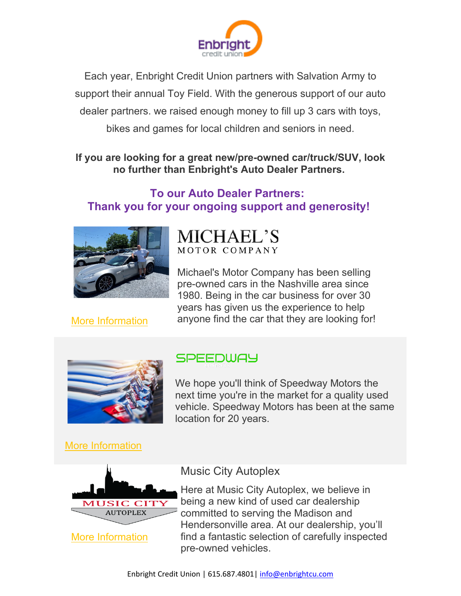

Each year, Enbright Credit Union partners with Salvation Army to support their annual Toy Field. With the generous support of our auto dealer partners. we raised enough money to fill up 3 cars with toys, bikes and games for local children and seniors in need.

### **If you are looking for a great new/pre-owned car/truck/SUV, look no further than Enbright's Auto Dealer Partners.**

# **To our Auto Dealer Partners: Thank you for your ongoing support and generosity!**



**MICHAEL'S** MOTOR COMPANY

Michael's Motor Company has been selling pre-owned cars in the Nashville area since 1980. Being in the car business for over 30 years has given us the experience to help anyone find the car that they are looking for!



[More Information](https://www.michaelsmotorco.com/?utm_source=sendinblue&utm_campaign=Thank%20you%20to%20Autodealers&utm_medium=email)

# SPEEDWAY

We hope you'll think of Speedway Motors the next time you're in the market for a quality used vehicle. Speedway Motors has been at the same location for 20 years.

[More Information](http://?utm_source=sendinblue&utm_campaign=Thank%20you%20to%20Autodealers&utm_medium=email)



## Music City Autoplex

Here at Music City Autoplex, we believe in being a new kind of used car dealership committed to serving the Madison and Hendersonville area. At our dealership, you'll find a fantastic selection of carefully inspected pre-owned vehicles.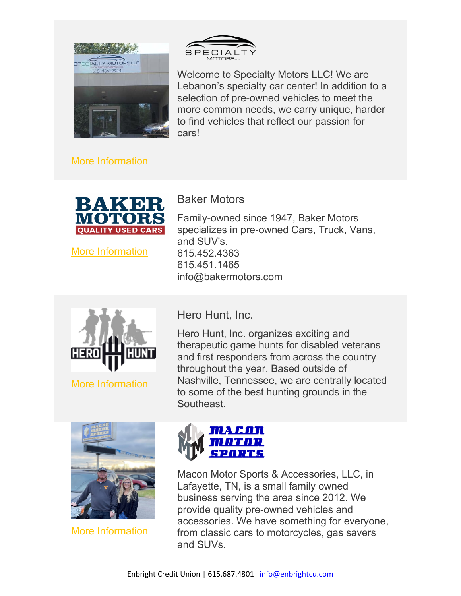

SPECI

Welcome to Specialty Motors LLC! We are Lebanon's specialty car center! In addition to a selection of pre-owned vehicles to meet the more common needs, we carry unique, harder to find vehicles that reflect our passion for cars!

Family-owned since 1947, Baker Motors specializes in pre-owned Cars, Truck, Vans,

[More Information](https://www.herohuntinc.org/?utm_source=sendinblue&utm_campaign=Thank%20you%20to%20Autodealers&utm_medium=email)



[More Information](https://www.bakermotors.com/?utm_source=sendinblue&utm_campaign=Thank%20you%20to%20Autodealers&utm_medium=email)

[More Information](https://www.herohuntinc.org/?utm_source=sendinblue&utm_campaign=Thank%20you%20to%20Autodealers&utm_medium=email)



[More Information](https://maconmotorsportsllcreviews.com/?utm_source=sendinblue&utm_campaign=Thank%20you%20to%20Autodealers&utm_medium=email)



Macon Motor Sports & Accessories, LLC, in Lafayette, TN, is a small family owned business serving the area since 2012. We provide quality pre-owned vehicles and accessories. We have something for everyone, from classic cars to motorcycles, gas savers and SUVs.

Hero Hunt, Inc.

info@bakermotors.com

Baker Motors

and SUV's. 615.452.4363 615.451.1465

Hero Hunt, Inc. organizes exciting and therapeutic game hunts for disabled veterans and first responders from across the country throughout the year. Based outside of Nashville, Tennessee, we are centrally located to some of the best hunting grounds in the Southeast.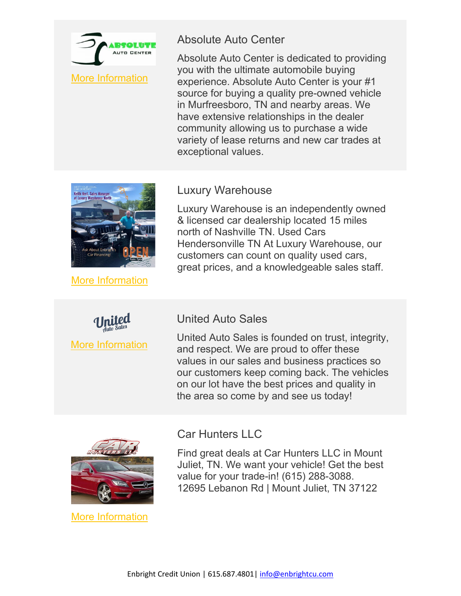

## Absolute Auto Center

Absolute Auto Center is dedicated to providing you with the ultimate automobile buying experience. Absolute Auto Center is your #1 source for buying a quality pre-owned vehicle in Murfreesboro, TN and nearby areas. We have extensive relationships in the dealer community allowing us to purchase a wide variety of lease returns and new car trades at exceptional values.



**[More Information](https://maconmotorsportsllcreviews.com/?utm_source=sendinblue&utm_campaign=Thank%20you%20to%20Autodealers&utm_medium=email)** 

[More Information](https://www.unitedautostn.com/?utm_source=sendinblue&utm_campaign=Thank%20you%20to%20Autodealers&utm_medium=email)

## Luxury Warehouse

Luxury Warehouse is an independently owned & licensed car dealership located 15 miles north of Nashville TN. Used Cars Hendersonville TN At Luxury Warehouse, our customers can count on quality used cars, great prices, and a knowledgeable sales staff.

### United Auto Sales

United Auto Sales is founded on trust, integrity, and respect. We are proud to offer these values in our sales and business practices so our customers keep coming back. The vehicles on our lot have the best prices and quality in the area so come by and see us today!



[More Information](https://www.autopronashville.com/?utm_source=sendinblue&utm_campaign=Thank%20you%20to%20Autodealers&utm_medium=email)

## Car Hunters LLC

Find great deals at Car Hunters LLC in Mount Juliet, TN. We want your vehicle! Get the best value for your trade-in! (615) 288-3088. 12695 Lebanon Rd | Mount Juliet, TN 37122